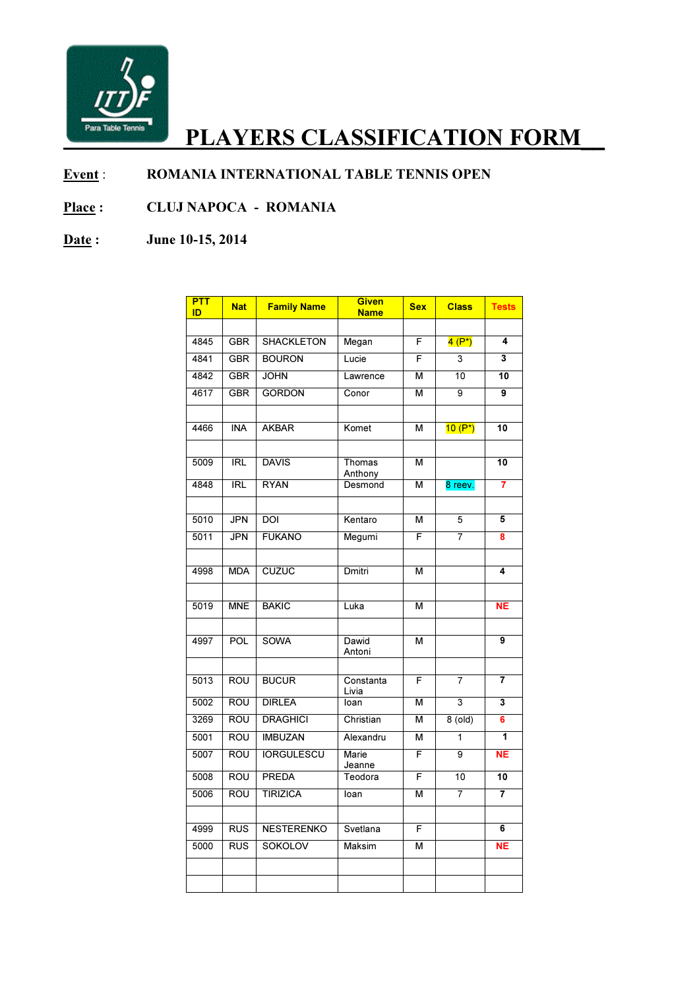

## PLAYERS CLASSIFICATION FORM

## Event : ROMANIA INTERNATIONAL TABLE TENNIS OPEN

## Place : CLUJ NAPOCA IA - ROMANIA

## Date: June 10-15, 2014

| <b>PTT</b><br>ID | <b>Nat</b> | <b>Family Name</b> | Given<br><b>Name</b> | <b>Sex</b> | <b>Class</b>   | <b>Tests</b>            |
|------------------|------------|--------------------|----------------------|------------|----------------|-------------------------|
|                  |            |                    |                      |            |                |                         |
| 4845             | <b>GBR</b> | <b>SHACKLETON</b>  | Megan                | F          | $4(P^*)$       | 4                       |
| 4841             | <b>GBR</b> | <b>BOURON</b>      | Lucie                | F          | 3              | $\overline{\mathbf{3}}$ |
| 4842             | <b>GBR</b> | <b>JOHN</b>        | Lawrence             | м          | 10             | 10                      |
| 4617             | <b>GBR</b> | <b>GORDON</b>      | Conor                | м          | 9              | 9                       |
|                  |            |                    |                      |            |                |                         |
| 4466             | <b>INA</b> | <b>AKBAR</b>       | Komet                | M          | $10 (P^*)$     | 10                      |
|                  |            |                    |                      |            |                |                         |
| 5009             | <b>IRL</b> | <b>DAVIS</b>       | Thomas<br>Anthony    | M          |                | 10                      |
| 4848             | RL         | <b>RYAN</b>        | Desmond              | M          | 8 reev.        | 7                       |
|                  |            |                    |                      |            |                |                         |
| 5010             | <b>JPN</b> | <b>DOI</b>         | Kentaro              | М          | 5              | 5                       |
| 5011             | <b>JPN</b> | <b>FUKANO</b>      | Megumi               | F          | $\overline{7}$ | 8                       |
|                  |            |                    |                      |            |                |                         |
| 4998             | <b>MDA</b> | <b>CUZUC</b>       | Dmitri               | M          |                | 4                       |
|                  |            |                    |                      |            |                |                         |
| 5019             | <b>MNE</b> | <b>BAKIC</b>       | Luka                 | M          |                | <b>NE</b>               |
|                  |            |                    |                      |            |                |                         |
| 4997             | <b>POL</b> | <b>SOWA</b>        | Dawid<br>Antoni      | м          |                | 9                       |
|                  |            |                    |                      |            |                |                         |
| 5013             | <b>ROU</b> | <b>BUCUR</b>       | Constanta<br>Livia   | F          | $\overline{7}$ | 7                       |
| 5002             | <b>ROU</b> | <b>DIRLEA</b>      | loan                 | М          | $\overline{3}$ | 3                       |
| 3269             | <b>ROU</b> | <b>DRAGHICI</b>    | Christian            | М          | 8(old)         | 6                       |
| 5001             | <b>ROU</b> | <b>IMBUZAN</b>     | Alexandru            | M          | 1              | 1                       |
| 5007             | <b>ROU</b> | <b>IORGULESCU</b>  | Marie<br>Jeanne      | F          | $\overline{9}$ | NΕ                      |
| 5008             | <b>ROU</b> | <b>PREDA</b>       | Teodora              | F          | 10             | 10                      |
| 5006             | ROU        | <b>TIRIZICA</b>    | loan                 | М          | 7              | $\overline{7}$          |
|                  |            |                    |                      |            |                |                         |
| 4999             | <b>RUS</b> | <b>NESTERENKO</b>  | Svetlana             | F          |                | 6                       |
| 5000             | RUS        | <b>SOKOLOV</b>     | Maksim               | м          |                | NE                      |
|                  |            |                    |                      |            |                |                         |
|                  |            |                    |                      |            |                |                         |